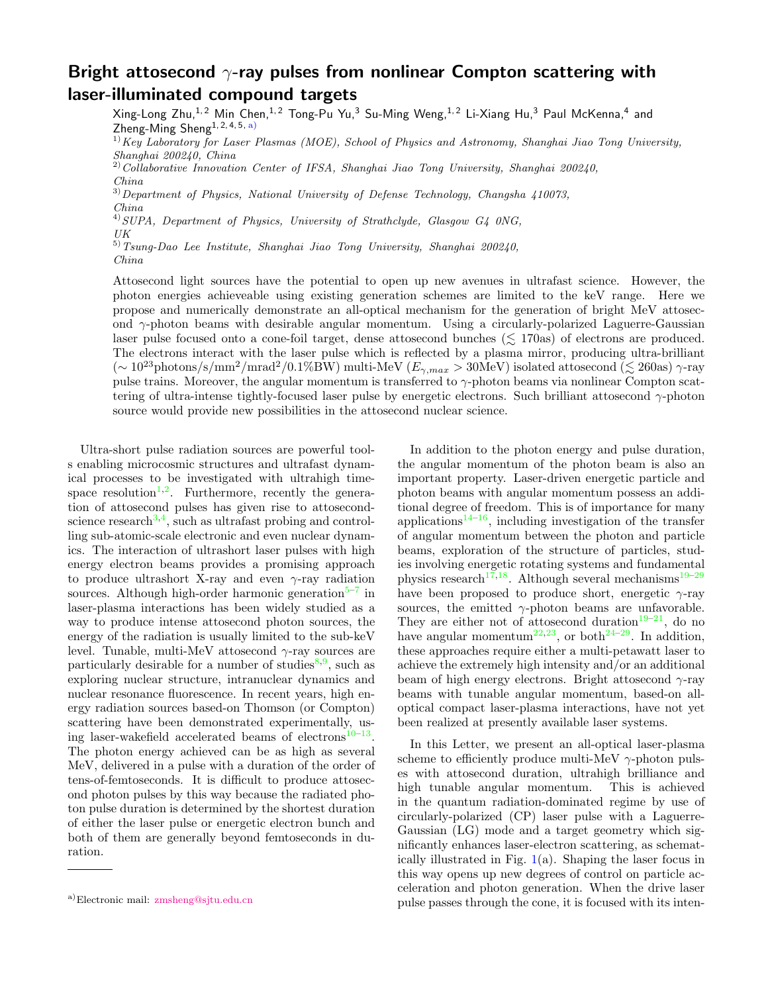## Bright attosecond  $\gamma$ -ray pulses from nonlinear Compton scattering with laser-illuminated compound targets

Xing-Long Zhu,<sup>1,2</sup> Min Chen,<sup>1,2</sup> Tong-Pu Yu,<sup>3</sup> Su-Ming Weng,<sup>1,2</sup> Li-Xiang Hu,<sup>3</sup> Paul McKenna,<sup>4</sup> and Zheng-Ming Sheng<sup>1, 2, 4, 5, [a\)](#page-0-0)</sup>

 $1)$ Key Laboratory for Laser Plasmas (MOE), School of Physics and Astronomy, Shanghai Jiao Tong University, Shanghai 200240, China

 $2)$ Collaborative Innovation Center of IFSA, Shanghai Jiao Tong University, Shanghai 200240, China

 $3)$  Department of Physics, National University of Defense Technology, Changsha  $410073$ , China

 $^{4)}$ SUPA, Department of Physics, University of Strathclyde, Glasgow G4 0NG, UK

5)Tsung-Dao Lee Institute, Shanghai Jiao Tong University, Shanghai 200240, China

Attosecond light sources have the potential to open up new avenues in ultrafast science. However, the photon energies achieveable using existing generation schemes are limited to the keV range. Here we propose and numerically demonstrate an all-optical mechanism for the generation of bright MeV attosecond  $\gamma$ -photon beams with desirable angular momentum. Using a circularly-polarized Laguerre-Gaussian laser pulse focused onto a cone-foil target, dense attosecond bunches ( $\leq$  170as) of electrons are produced. The electrons interact with the laser pulse which is reflected by a plasma mirror, producing ultra-brilliant  $(\sim 10^{23} \text{photons/s/mm}^2/\text{mrad}^2/0.1\%$ BW) multi-MeV  $(E_{\gamma,max} > 30$ MeV) isolated attosecond ( $\lesssim 260$ as)  $\gamma$ -ray pulse trains. Moreover, the angular momentum is transferred to  $\gamma$ -photon beams via nonlinear Compton scattering of ultra-intense tightly-focused laser pulse by energetic electrons. Such brilliant attosecond  $\gamma$ -photon source would provide new possibilities in the attosecond nuclear science.

Ultra-short pulse radiation sources are powerful tools enabling microcosmic structures and ultrafast dynamical processes to be investigated with ultrahigh time-space resolution<sup>[1,](#page-4-0)[2](#page-4-1)</sup>. Furthermore, recently the generation of attosecond pulses has given rise to attosecond-science research<sup>[3,](#page-4-2)[4](#page-4-3)</sup>, such as ultrafast probing and controlling sub-atomic-scale electronic and even nuclear dynamics. The interaction of ultrashort laser pulses with high energy electron beams provides a promising approach to produce ultrashort X-ray and even  $\gamma$ -ray radiation sources. Although high-order harmonic generation<sup>5-[7](#page-4-5)</sup> in laser-plasma interactions has been widely studied as a way to produce intense attosecond photon sources, the energy of the radiation is usually limited to the sub-keV level. Tunable, multi-MeV attosecond  $\gamma$ -ray sources are particularly desirable for a number of studies<sup>[8,](#page-4-6)[9](#page-4-7)</sup>, such as exploring nuclear structure, intranuclear dynamics and nuclear resonance fluorescence. In recent years, high energy radiation sources based-on Thomson (or Compton) scattering have been demonstrated experimentally, us-ing laser-wakefield accelerated beams of electrons<sup>[10–](#page-4-8)[13](#page-4-9)</sup>. The photon energy achieved can be as high as several MeV, delivered in a pulse with a duration of the order of tens-of-femtoseconds. It is difficult to produce attosecond photon pulses by this way because the radiated photon pulse duration is determined by the shortest duration of either the laser pulse or energetic electron bunch and both of them are generally beyond femtoseconds in duration.

In addition to the photon energy and pulse duration, the angular momentum of the photon beam is also an important property. Laser-driven energetic particle and photon beams with angular momentum possess an additional degree of freedom. This is of importance for many applications<sup>[14](#page-4-10)[–16](#page-4-11)</sup>, including investigation of the transfer of angular momentum between the photon and particle beams, exploration of the structure of particles, studies involving energetic rotating systems and fundamental physics research<sup>[17,](#page-4-12)[18](#page-4-13)</sup>. Although several mechanisms<sup>[19–](#page-4-14)[29](#page-4-15)</sup> have been proposed to produce short, energetic  $\gamma$ -ray sources, the emitted  $\gamma$ -photon beams are unfavorable. They are either not of attosecond duration<sup>[19](#page-4-14)[–21](#page-4-16)</sup>, do no have angular momentum<sup>[22](#page-4-17)[,23](#page-4-18)</sup>, or both<sup>[24–](#page-4-19)[29](#page-4-15)</sup>. In addition, these approaches require either a multi-petawatt laser to achieve the extremely high intensity and/or an additional beam of high energy electrons. Bright attosecond  $\gamma$ -ray beams with tunable angular momentum, based-on alloptical compact laser-plasma interactions, have not yet been realized at presently available laser systems.

In this Letter, we present an all-optical laser-plasma scheme to efficiently produce multi-MeV  $\gamma$ -photon pulses with attosecond duration, ultrahigh brilliance and high tunable angular momentum. This is achieved in the quantum radiation-dominated regime by use of circularly-polarized (CP) laser pulse with a Laguerre-Gaussian (LG) mode and a target geometry which significantly enhances laser-electron scattering, as schematically illustrated in Fig.  $1(a)$  $1(a)$ . Shaping the laser focus in this way opens up new degrees of control on particle acceleration and photon generation. When the drive laser pulse passes through the cone, it is focused with its inten-

<span id="page-0-0"></span>a)Electronic mail: [zmsheng@sjtu.edu.cn](mailto:zmsheng@sjtu.edu.cn)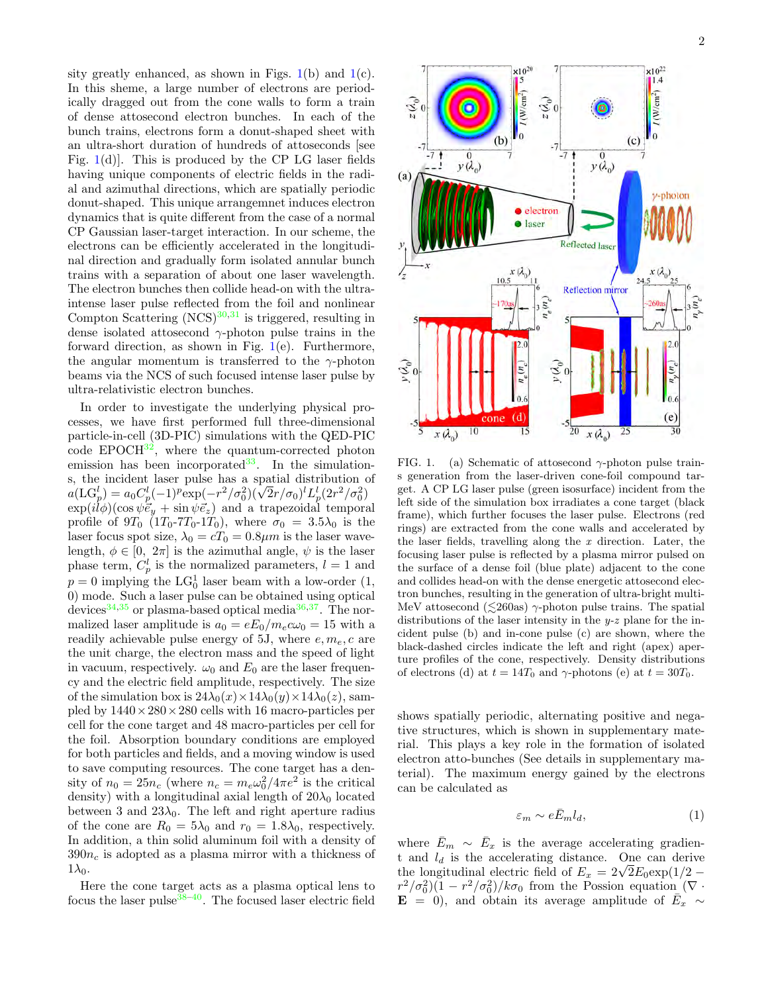sity greatly enhanced, as shown in Figs.  $1(b)$  $1(b)$  and  $1(c)$ . In this sheme, a large number of electrons are periodically dragged out from the cone walls to form a train of dense attosecond electron bunches. In each of the bunch trains, electrons form a donut-shaped sheet with an ultra-short duration of hundreds of attoseconds [see Fig.  $1(d)$  $1(d)$ . This is produced by the CP LG laser fields having unique components of electric fields in the radial and azimuthal directions, which are spatially periodic donut-shaped. This unique arrangemnet induces electron dynamics that is quite different from the case of a normal CP Gaussian laser-target interaction. In our scheme, the electrons can be efficiently accelerated in the longitudinal direction and gradually form isolated annular bunch trains with a separation of about one laser wavelength. The electron bunches then collide head-on with the ultraintense laser pulse reflected from the foil and nonlinear Compton Scattering  $(NCS)^{30,31}$  $(NCS)^{30,31}$  $(NCS)^{30,31}$  $(NCS)^{30,31}$  is triggered, resulting in dense isolated attosecond  $\gamma$ -photon pulse trains in the forward direction, as shown in Fig.  $1(e)$  $1(e)$ . Furthermore, the angular momentum is transferred to the  $\gamma$ -photon beams via the NCS of such focused intense laser pulse by ultra-relativistic electron bunches.

In order to investigate the underlying physical processes, we have first performed full three-dimensional particle-in-cell (3D-PIC) simulations with the QED-PIC  $\overline{\text{code }$  EPOCH $^{32}$  $^{32}$  $^{32}$ , where the quantum-corrected photon emission has been incorporated  $33$ . In the simulations, the incident laser pulse has a spatial distribution of s, the incident laser pulse has a spatial distribution of  $a(\text{LG}_p^l) = a_0 C_p^l (-1)^p \exp(-r^2/\sigma_0^2)(\sqrt{2}r/\sigma_0)^l L_p^l (2r^2/\sigma_0^2)$  $\exp(il\phi)(\cos\psi\vec{e}_y + \sin\psi\vec{e}_z)$  and a trapezoidal temporal profile of  $9T_0$   $(1T_0-7T_0-1T_0)$ , where  $\sigma_0 = 3.5\lambda_0$  is the laser focus spot size,  $\lambda_0 = cT_0 = 0.8 \mu m$  is the laser wavelength,  $\phi \in [0, 2\pi]$  is the azimuthal angle,  $\psi$  is the laser phase term,  $C_p^l$  is the normalized parameters,  $l = 1$  and  $p = 0$  implying the LG<sub>0</sub><sup>1</sup> laser beam with a low-order  $(1, 0)$ 0) mode. Such a laser pulse can be obtained using optical devices<sup>[34,](#page-4-24)[35](#page-4-25)</sup> or plasma-based optical media<sup>[36](#page-4-26)[,37](#page-4-27)</sup>. The normalized laser amplitude is  $a_0 = eE_0/m_ec\omega_0 = 15$  with a readily achievable pulse energy of 5J, where  $e, m_e, c$  are the unit charge, the electron mass and the speed of light in vacuum, respectively.  $\omega_0$  and  $E_0$  are the laser frequency and the electric field amplitude, respectively. The size of the simulation box is  $24\lambda_0(x)\times 14\lambda_0(y)\times 14\lambda_0(z)$ , sampled by  $1440 \times 280 \times 280$  cells with 16 macro-particles per cell for the cone target and 48 macro-particles per cell for the foil. Absorption boundary conditions are employed for both particles and fields, and a moving window is used to save computing resources. The cone target has a density of  $n_0 = 25n_c$  (where  $n_c = m_e \omega_0^2 / 4\pi e^2$  is the critical density) with a longitudinal axial length of  $20\lambda_0$  located between 3 and  $23\lambda_0$ . The left and right aperture radius of the cone are  $R_0 = 5\lambda_0$  and  $r_0 = 1.8\lambda_0$ , respectively. In addition, a thin solid aluminum foil with a density of  $390n_c$  is adopted as a plasma mirror with a thickness of  $1\lambda_0$ .

Here the cone target acts as a plasma optical lens to focus the laser pulse  $38-40$  $38-40$ . The focused laser electric field



<span id="page-1-0"></span>FIG. 1. (a) Schematic of attosecond  $\gamma$ -photon pulse trains generation from the laser-driven cone-foil compound target. A CP LG laser pulse (green isosurface) incident from the left side of the simulation box irradiates a cone target (black frame), which further focuses the laser pulse. Electrons (red rings) are extracted from the cone walls and accelerated by the laser fields, travelling along the  $x$  direction. Later, the focusing laser pulse is reflected by a plasma mirror pulsed on the surface of a dense foil (blue plate) adjacent to the cone and collides head-on with the dense energetic attosecond electron bunches, resulting in the generation of ultra-bright multi-MeV attosecond ( $\leq$ 260as)  $\gamma$ -photon pulse trains. The spatial distributions of the laser intensity in the  $y-z$  plane for the incident pulse (b) and in-cone pulse (c) are shown, where the black-dashed circles indicate the left and right (apex) aperture profiles of the cone, respectively. Density distributions of electrons (d) at  $t = 14T_0$  and  $\gamma$ -photons (e) at  $t = 30T_0$ .

shows spatially periodic, alternating positive and negative structures, which is shown in supplementary material. This plays a key role in the formation of isolated electron atto-bunches (See details in supplementary material). The maximum energy gained by the electrons can be calculated as

$$
\varepsilon_m \sim e\bar{E}_m l_d,\tag{1}
$$

where  $\bar{E}_m \sim \bar{E}_x$  is the average accelerating gradient and  $l_d$  is the accelerating distance. One can derive t and  $l_d$  is the accelerating distance. One can derive<br>the longitudinal electric field of  $E_x = 2\sqrt{2}E_0 \exp(1/2 (r^2/\sigma_0^2)(1 - r^2/\sigma_0^2)/k\sigma_0$  from the Possion equation ( $\nabla \cdot$  $\mathbf{E} = \begin{bmatrix} 0 \\ 0 \end{bmatrix}$ , and obtain its average amplitude of  $\overrightarrow{E}_x \sim$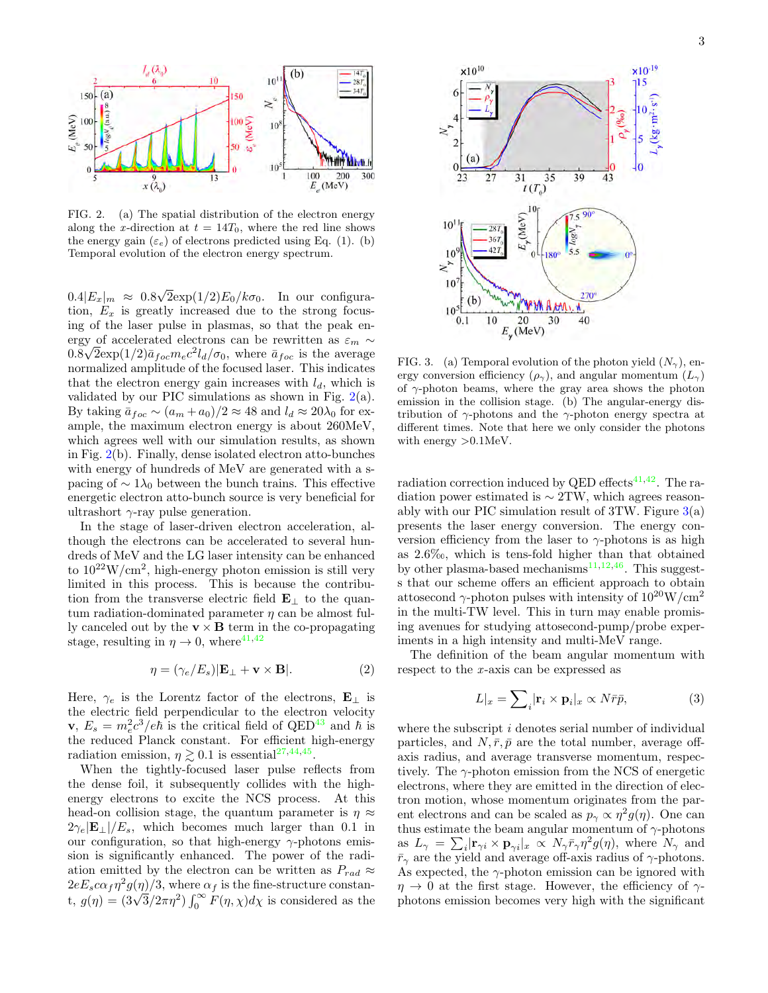

<span id="page-2-0"></span>FIG. 2. (a) The spatial distribution of the electron energy along the x-direction at  $t = 14T_0$ , where the red line shows the energy gain  $(\varepsilon_e)$  of electrons predicted using Eq. (1). (b) Temporal evolution of the electron energy spectrum.

 $0.4|E_x|_m \approx 0.8$ √  $2\exp(1/2)E_0/k\sigma_0$ . In our configuration,  $E_x$  is greatly increased due to the strong focusing of the laser pulse in plasmas, so that the peak energy of accelerated electrons can be rewritten as  $\varepsilon_m \sim$  $0.8\sqrt{2}\exp(1/2)\bar{a}_{foc}m_ec^2l_d/\sigma_0$ , where  $\bar{a}_{foc}$  is the average normalized amplitude of the focused laser. This indicates that the electron energy gain increases with  $l_d$ , which is validated by our PIC simulations as shown in Fig.  $2(a)$  $2(a)$ . By taking  $\bar{a}_{foc} \sim (a_m + a_0)/2 \approx 48$  and  $l_d \approx 20\lambda_0$  for example, the maximum electron energy is about 260MeV, which agrees well with our simulation results, as shown in Fig. [2\(](#page-2-0)b). Finally, dense isolated electron atto-bunches with energy of hundreds of MeV are generated with a spacing of  $\sim 1\lambda_0$  between the bunch trains. This effective energetic electron atto-bunch source is very beneficial for ultrashort  $\gamma$ -ray pulse generation.

In the stage of laser-driven electron acceleration, although the electrons can be accelerated to several hundreds of MeV and the LG laser intensity can be enhanced to  $10^{22}$ W/cm<sup>2</sup>, high-energy photon emission is still very limited in this process. This is because the contribution from the transverse electric field  $\mathbf{E}_{\perp}$  to the quantum radiation-dominated parameter  $\eta$  can be almost fully canceled out by the  $\mathbf{v} \times \mathbf{B}$  term in the co-propagating stage, resulting in  $\eta \to 0$ , where<sup>[41,](#page-4-30)[42](#page-4-31)</sup>

$$
\eta = (\gamma_e/E_s)|\mathbf{E}_{\perp} + \mathbf{v} \times \mathbf{B}|.
$$
 (2)

Here,  $\gamma_e$  is the Lorentz factor of the electrons,  $\mathbf{E}_{\perp}$  is the electric field perpendicular to the electron velocity **v**,  $E_s = m_e^2 c^3 / e \hbar$  is the critical field of QED<sup>[43](#page-4-32)</sup> and  $\hbar$  is the reduced Planck constant. For efficient high-energy radiation emission,  $\eta \gtrsim 0.1$  is essential<sup>[27,](#page-4-33)[44,](#page-4-34)[45](#page-4-35)</sup>.

When the tightly-focused laser pulse reflects from the dense foil, it subsequently collides with the highenergy electrons to excite the NCS process. At this head-on collision stage, the quantum parameter is  $\eta \approx$  $2\gamma_e|\mathbf{E}_\perp|/E_s$ , which becomes much larger than 0.1 in our configuration, so that high-energy  $\gamma$ -photons emission is significantly enhanced. The power of the radiation emitted by the electron can be written as  $P_{rad} \approx$  $2eE_s c\alpha_f \eta^2 g(\eta)/3$ , where  $\alpha_f$  is the fine-structure constan-<br>t,  $g(\eta) = (3\sqrt{3}/2\pi\eta^2) \int_0^\infty F(\eta, \chi) d\chi$  is considered as the



<span id="page-2-1"></span>FIG. 3. (a) Temporal evolution of the photon yield  $(N_{\gamma})$ , energy conversion efficiency  $(\rho_{\gamma})$ , and angular momentum  $(L_{\gamma})$ of  $\gamma$ -photon beams, where the gray area shows the photon emission in the collision stage. (b) The angular-energy distribution of  $\gamma$ -photons and the  $\gamma$ -photon energy spectra at different times. Note that here we only consider the photons with energy >0.1MeV.

radiation correction induced by QED effects $41,42$  $41,42$ . The radiation power estimated is  $\sim$  2TW, which agrees reasonably with our PIC simulation result of  $3TW$ . Figure  $3(a)$  $3(a)$ presents the laser energy conversion. The energy conversion efficiency from the laser to  $\gamma$ -photons is as high as 2.6‰, which is tens-fold higher than that obtained by other plasma-based mechanisms<sup>[11](#page-4-36)[,12](#page-4-37)[,46](#page-4-38)</sup>. This suggests that our scheme offers an efficient approach to obtain attosecond  $\gamma$ -photon pulses with intensity of  $10^{20}$ W/cm<sup>2</sup> in the multi-TW level. This in turn may enable promising avenues for studying attosecond-pump/probe experiments in a high intensity and multi-MeV range.

The definition of the beam angular momentum with respect to the  $x$ -axis can be expressed as

$$
L|_{x} = \sum_{i} |\mathbf{r}_{i} \times \mathbf{p}_{i}|_{x} \propto N \bar{r} \bar{p}, \qquad (3)
$$

where the subscript i denotes serial number of individual particles, and  $N, \bar{r}, \bar{p}$  are the total number, average offaxis radius, and average transverse momentum, respectively. The  $\gamma$ -photon emission from the NCS of energetic electrons, where they are emitted in the direction of electron motion, whose momentum originates from the parent electrons and can be scaled as  $p_{\gamma} \propto \eta^2 g(\eta)$ . One can thus estimate the beam angular momentum of  $\gamma$ -photons as  $L_{\gamma} = \sum_{i} |\mathbf{r}_{\gamma i} \times \mathbf{p}_{\gamma i}|_{x} \propto N_{\gamma} \bar{r}_{\gamma} \eta^{2} g(\eta)$ , where  $N_{\gamma}$  and  $\bar{r}_{\gamma}$  are the yield and average off-axis radius of  $\gamma$ -photons. As expected, the  $\gamma$ -photon emission can be ignored with  $\eta \rightarrow 0$  at the first stage. However, the efficiency of  $\gamma$ photons emission becomes very high with the significant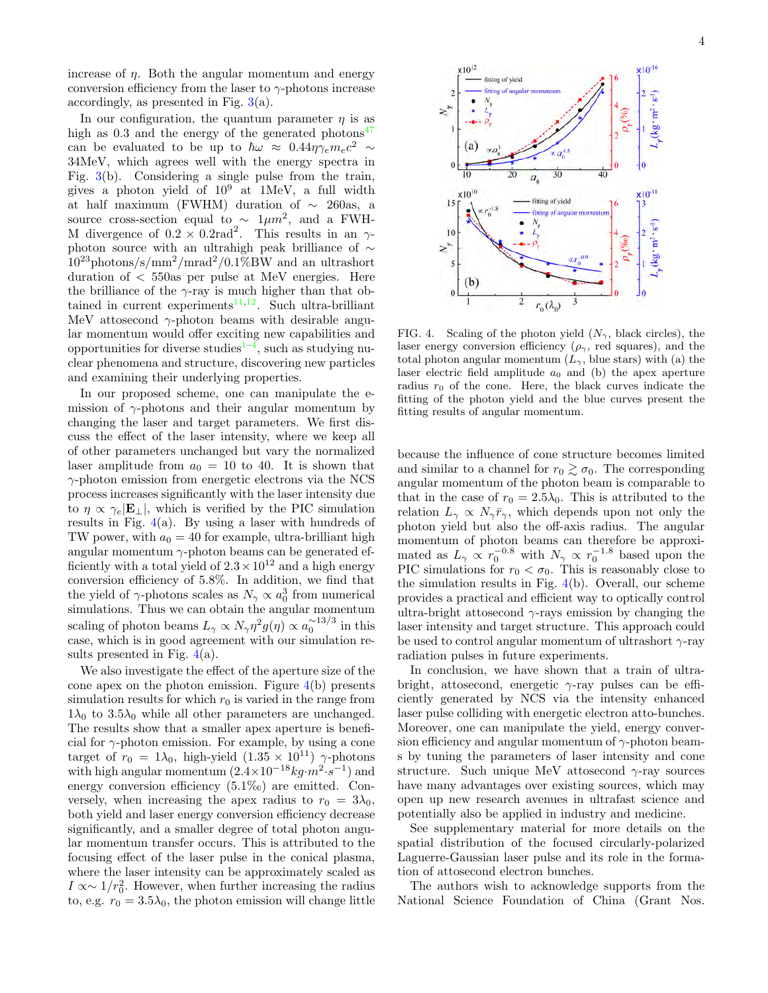increase of  $\eta$ . Both the angular momentum and energy conversion efficiency from the laser to  $\gamma$ -photons increase accordingly, as presented in Fig. [3\(](#page-2-1)a).

In our configuration, the quantum parameter  $\eta$  is as high as  $0.3$  and the energy of the generated photons<sup>[47](#page-4-39)</sup> can be evaluated to be up to  $\hbar \omega \approx 0.44 \eta \gamma_e m_e c^2 \sim$ 34MeV, which agrees well with the energy spectra in Fig. [3\(](#page-2-1)b). Considering a single pulse from the train, gives a photon yield of  $10^9$  at 1MeV, a full width at half maximum (FWHM) duration of  $\sim$  260as, a source cross-section equal to  $\sim 1 \mu m^2$ , and a FWH-M divergence of  $0.2 \times 0.2$ rad<sup>2</sup>. This results in an  $\gamma$ photon source with an ultrahigh peak brilliance of ∼  $10^{23}$ photons/s/mm<sup>2</sup>/mrad<sup>2</sup>/0.1%BW and an ultrashort duration of < 550as per pulse at MeV energies. Here the brilliance of the  $\gamma$ -ray is much higher than that obtained in current experiments $11,12$  $11,12$ . Such ultra-brilliant MeV attosecond  $\gamma$ -photon beams with desirable angular momentum would offer exciting new capabilities and opportunities for diverse studies<sup> $1-4$  $1-4$ </sup>, such as studying nuclear phenomena and structure, discovering new particles and examining their underlying properties.

In our proposed scheme, one can manipulate the emission of  $\gamma$ -photons and their angular momentum by changing the laser and target parameters. We first discuss the effect of the laser intensity, where we keep all of other parameters unchanged but vary the normalized laser amplitude from  $a_0 = 10$  to 40. It is shown that  $\gamma$ -photon emission from energetic electrons via the NCS process increases significantly with the laser intensity due to  $\eta \propto \gamma_e |\mathbf{E}_{\perp}|$ , which is verified by the PIC simulation results in Fig. [4\(](#page-3-0)a). By using a laser with hundreds of TW power, with  $a_0 = 40$  for example, ultra-brilliant high angular momentum  $\gamma$ -photon beams can be generated efficiently with a total yield of  $2.3 \times 10^{12}$  and a high energy conversion efficiency of 5.8%. In addition, we find that the yield of  $\gamma$ -photons scales as  $N_{\gamma} \propto a_0^3$  from numerical simulations. Thus we can obtain the angular momentum scaling of photon beams  $L_{\gamma} \propto N_{\gamma} \eta^2 g(\eta) \propto a_0^{\sim 13/3}$  in this case, which is in good agreement with our simulation results presented in Fig.  $4(a)$  $4(a)$ .

We also investigate the effect of the aperture size of the cone apex on the photon emission. Figure  $4(b)$  $4(b)$  presents simulation results for which  $r_0$  is varied in the range from  $1\lambda_0$  to  $3.5\lambda_0$  while all other parameters are unchanged. The results show that a smaller apex aperture is beneficial for  $\gamma$ -photon emission. For example, by using a cone target of  $r_0 = 1\lambda_0$ , high-yield  $(1.35 \times 10^{11})$   $\gamma$ -photons with high angular momentum  $(2.4 \times 10^{-18} kg \cdot m^2 \cdot s^{-1})$  and energy conversion efficiency (5.1‰) are emitted. Conversely, when increasing the apex radius to  $r_0 = 3\lambda_0$ , both yield and laser energy conversion efficiency decrease significantly, and a smaller degree of total photon angular momentum transfer occurs. This is attributed to the focusing effect of the laser pulse in the conical plasma, where the laser intensity can be approximately scaled as  $I \propto \sim 1/r_0^2$ . However, when further increasing the radius to, e.g.  $r_0 = 3.5\lambda_0$ , the photon emission will change little



<span id="page-3-0"></span>FIG. 4. Scaling of the photon yield  $(N_{\gamma}, \text{ black circles})$ , the laser energy conversion efficiency  $(\rho_{\gamma}, \text{ red squares})$ , and the total photon angular momentum  $(L_{\gamma},$  blue stars) with (a) the laser electric field amplitude  $a_0$  and (b) the apex aperture radius  $r_0$  of the cone. Here, the black curves indicate the fitting of the photon yield and the blue curves present the fitting results of angular momentum.

because the influence of cone structure becomes limited and similar to a channel for  $r_0 \gtrsim \sigma_0$ . The corresponding angular momentum of the photon beam is comparable to that in the case of  $r_0 = 2.5\lambda_0$ . This is attributed to the relation  $L_{\gamma} \propto N_{\gamma} \bar{r}_{\gamma}$ , which depends upon not only the photon yield but also the off-axis radius. The angular momentum of photon beams can therefore be approximated as  $L_{\gamma} \propto r_0^{-0.8}$  with  $N_{\gamma} \propto r_0^{-1.8}$  based upon the PIC simulations for  $r_0 < \sigma_0$ . This is reasonably close to the simulation results in Fig. [4\(](#page-3-0)b). Overall, our scheme provides a practical and efficient way to optically control ultra-bright attosecond  $\gamma$ -rays emission by changing the laser intensity and target structure. This approach could be used to control angular momentum of ultrashort  $\gamma$ -ray radiation pulses in future experiments.

In conclusion, we have shown that a train of ultrabright, attosecond, energetic  $\gamma$ -ray pulses can be efficiently generated by NCS via the intensity enhanced laser pulse colliding with energetic electron atto-bunches. Moreover, one can manipulate the yield, energy conversion efficiency and angular momentum of  $\gamma$ -photon beams by tuning the parameters of laser intensity and cone structure. Such unique MeV attosecond  $\gamma$ -ray sources have many advantages over existing sources, which may open up new research avenues in ultrafast science and potentially also be applied in industry and medicine.

See supplementary material for more details on the spatial distribution of the focused circularly-polarized Laguerre-Gaussian laser pulse and its role in the formation of attosecond electron bunches.

The authors wish to acknowledge supports from the National Science Foundation of China (Grant Nos.